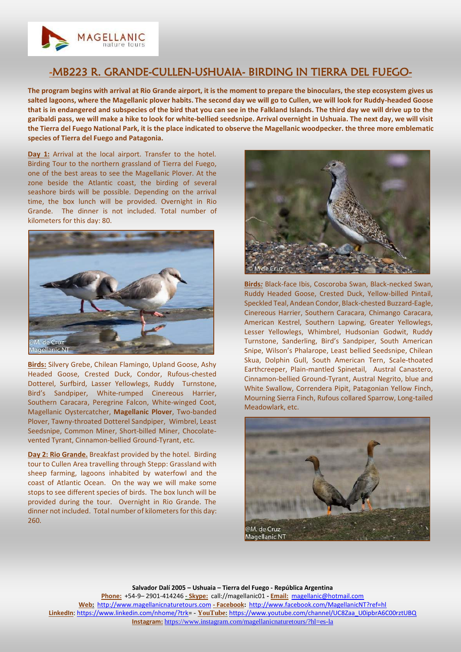

## -MB223 R. GRANDE-CULLEN-USHUAIA- BIRDING IN TIERRA DEL FUEGO-

**The program begins with arrival at Rio Grande airport, it is the moment to prepare the binoculars, the step ecosystem gives us salted lagoons, where the Magellanic plover habits. The second day we will go to Cullen, we will look for Ruddy-headed Goose that is in endangered and subspecies of the bird that you can see in the Falkland Islands. The third day we will drive up to the garibaldi pass, we will make a hike to look for white-bellied seedsnipe. Arrival overnight in Ushuaia. The next day, we will visit the Tierra del Fuego National Park, it is the place indicated to observe the Magellanic woodpecker. the three more emblematic species of Tierra del Fuego and Patagonia.**

**Day 1:** Arrival at the local airport. Transfer to the hotel. Birding Tour to the northern grassland of Tierra del Fuego, one of the best areas to see the Magellanic Plover. At the zone beside the Atlantic coast, the birding of several seashore birds will be possible. Depending on the arrival time, the box lunch will be provided. Overnight in Rio Grande. The dinner is not included. Total number of kilometers for this day: 80.



**Birds:** Silvery Grebe, Chilean Flamingo, Upland Goose, Ashy Headed Goose, Crested Duck, Condor, Rufous-chested Dotterel, Surfbird, Lasser Yellowlegs, Ruddy Turnstone, Bird's Sandpiper, White-rumped Cinereous Harrier, Southern Caracara, Peregrine Falcon, White-winged Coot, Magellanic Oystercatcher, **Magellanic Plover**, Two-banded Plover, Tawny-throated Dotterel Sandpiper, Wimbrel, Least Seedsnipe, Common Miner, Short-billed Miner, Chocolatevented Tyrant, Cinnamon-bellied Ground-Tyrant, etc.

**Day 2: Rio Grande.** Breakfast provided by the hotel. Birding tour to Cullen Area travelling through Stepp: Grassland with sheep farming, lagoons inhabited by waterfowl and the coast of Atlantic Ocean. On the way we will make some stops to see different species of birds. The box lunch will be provided during the tour. Overnight in Rio Grande. The dinner not included. Total number of kilometers for this day: 260.



**Birds***:* Black-face Ibis, Coscoroba Swan, Black-necked Swan, Ruddy Headed Goose, Crested Duck, Yellow-billed Pintail, Speckled Teal, Andean Condor, Black-chested Buzzard-Eagle, Cinereous Harrier, Southern Caracara, Chimango Caracara, American Kestrel, Southern Lapwing, Greater Yellowlegs, Lesser Yellowlegs, Whimbrel, Hudsonian Godwit, Ruddy Turnstone, Sanderling, Bird's Sandpiper, South American Snipe, Wilson's Phalarope, Least bellied Seedsnipe, Chilean Skua, Dolphin Gull, South American Tern, Scale-thoated Earthcreeper, Plain-mantled Spinetail, Austral Canastero, Cinnamon-bellied Ground-Tyrant, Austral Negrito, blue and White Swallow, Correndera Pipit, Patagonian Yellow Finch, Mourning Sierra Finch, Rufous collared Sparrow, Long-tailed Meadowlark, etc.



**Salvador Dalí 2005 – Ushuaia – Tierra del Fuego - República Argentina Phone:** +54-9– 2901-414246 **- Skype:** call://magellanic01 **- Email:** [magellanic@hotmail.com](mailto:magellanic@hotmail.com) **Web:** [http://www.magellanicnaturetours.com](http://www.magellanicnaturetours.com/) **- Facebook:** <http://www.facebook.com/MagellanicNT?ref=hl> **LinkedIn**: [https://www.linkedin.com/nhome/?trk=](https://www.linkedin.com/nhome/?trk) - **YouTube:** [https://www.youtube.com/channel/UC8Zaa\\_U0ipbrA6C00rztUBQ](https://www.youtube.com/channel/UC8Zaa_U0ipbrA6C00rztUBQ) **Instagram:** <https://www.instagram.com/magellanicnaturetours/?hl=es-la>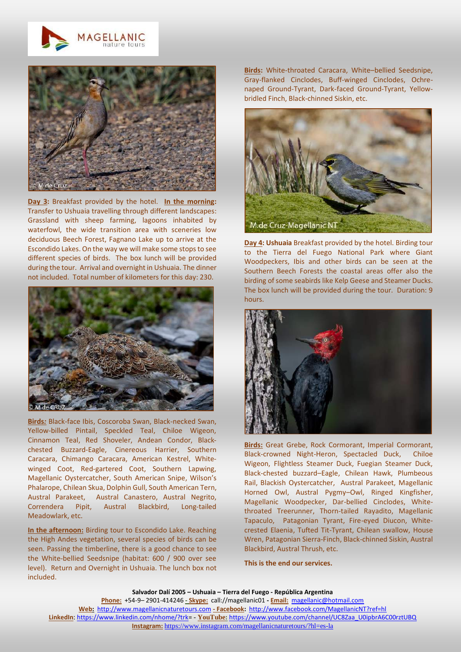



**Day 3:** Breakfast provided by the hotel. **In the morning:** Transfer to Ushuaia travelling through different landscapes: Grassland with sheep farming, lagoons inhabited by waterfowl, the wide transition area with sceneries low deciduous Beech Forest, Fagnano Lake up to arrive at the Escondido Lakes. On the way we will make some stops to see different species of birds. The box lunch will be provided during the tour. Arrival and overnight in Ushuaia. The dinner not included. Total number of kilometers for this day: 230.



**Birds***:* Black-face Ibis, Coscoroba Swan, Black-necked Swan, Yellow-billed Pintail, Speckled Teal, Chiloe Wigeon, Cinnamon Teal, Red Shoveler, Andean Condor, Blackchested Buzzard-Eagle, Cinereous Harrier, Southern Caracara, Chimango Caracara, American Kestrel, Whitewinged Coot, Red-gartered Coot, Southern Lapwing, Magellanic Oystercatcher, South American Snipe, Wilson's Phalarope, Chilean Skua, Dolphin Gull, South American Tern, Austral Parakeet, Austral Canastero, Austral Negrito, Correndera Pipit, Austral Blackbird, Long-tailed Meadowlark, etc.

**In the afternoon:** Birding tour to Escondido Lake. Reaching the High Andes vegetation, several species of birds can be seen. Passing the timberline, there is a good chance to see the White-bellied Seedsnipe (habitat: 600 / 900 over see level). Return and Overnight in Ushuaia. The lunch box not included.

**Birds:** White-throated Caracara, White–bellied Seedsnipe, Gray-flanked Cinclodes, Buff-winged Cinclodes, Ochrenaped Ground-Tyrant, Dark-faced Ground-Tyrant, Yellowbridled Finch, Black-chinned Siskin, etc.



**Day 4: Ushuaia** Breakfast provided by the hotel. Birding tour to the Tierra del Fuego National Park where Giant Woodpeckers, Ibis and other birds can be seen at the Southern Beech Forests the coastal areas offer also the birding of some seabirds like Kelp Geese and Steamer Ducks. The box lunch will be provided during the tour. Duration: 9 hours.



**Birds:** Great Grebe, Rock Cormorant, Imperial Cormorant, Black-crowned Night-Heron, Spectacled Duck, Chiloe Wigeon, Flightless Steamer Duck, Fuegian Steamer Duck, Black-chested buzzard–Eagle, Chilean Hawk, Plumbeous Rail, Blackish Oystercatcher, Austral Parakeet, Magellanic Horned Owl, Austral Pygmy–Owl, Ringed Kingfisher, Magellanic Woodpecker, Dar-bellied Cinclodes, Whitethroated Treerunner, Thorn-tailed Rayadito, Magellanic Tapaculo, Patagonian Tyrant, Fire-eyed Diucon, Whitecrested Elaenia, Tufted Tit-Tyrant, Chilean swallow, House Wren, Patagonian Sierra-Finch, Black-chinned Siskin, Austral Blackbird, Austral Thrush, etc.

**This is the end our services.**